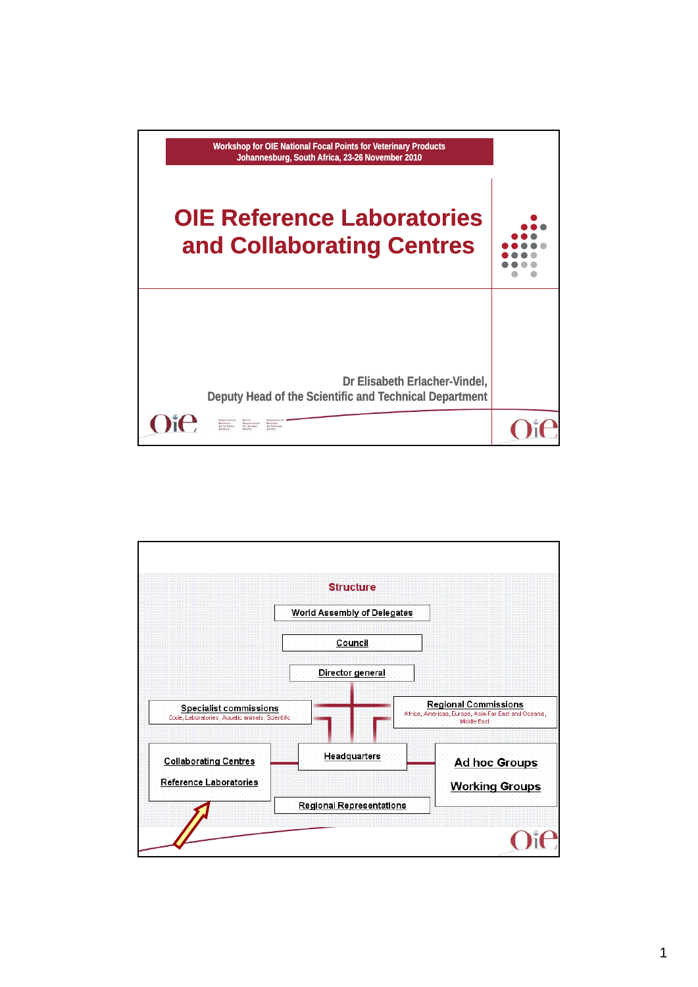

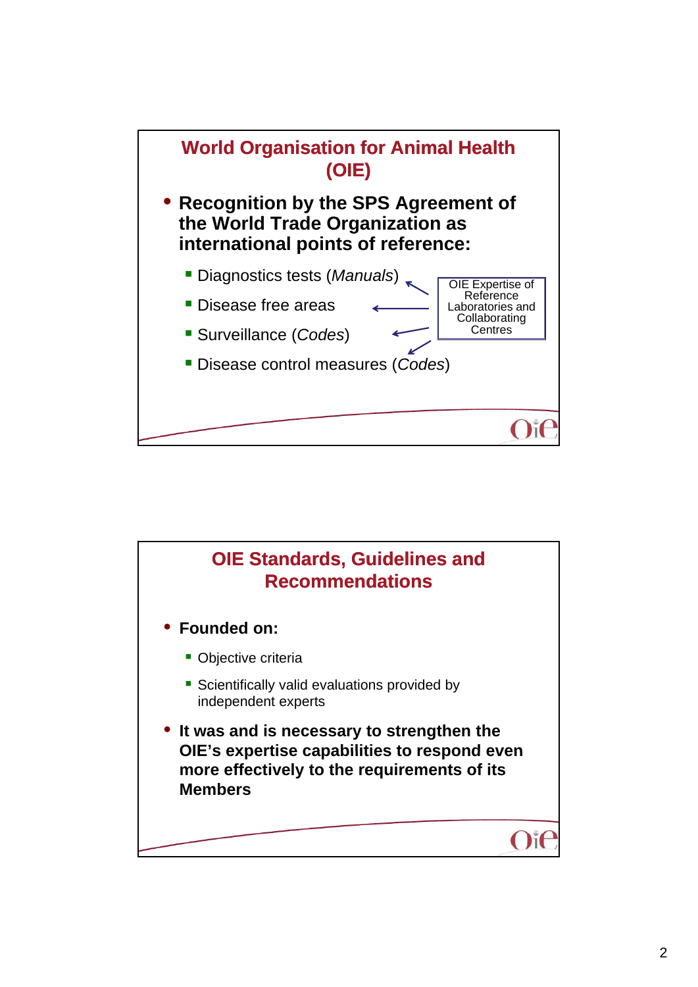

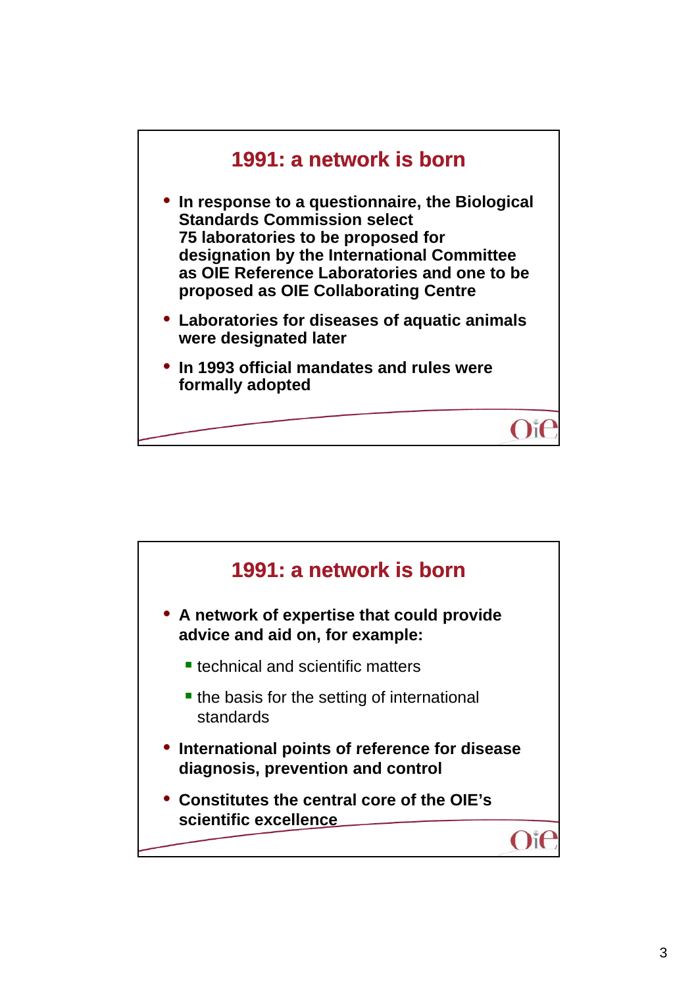

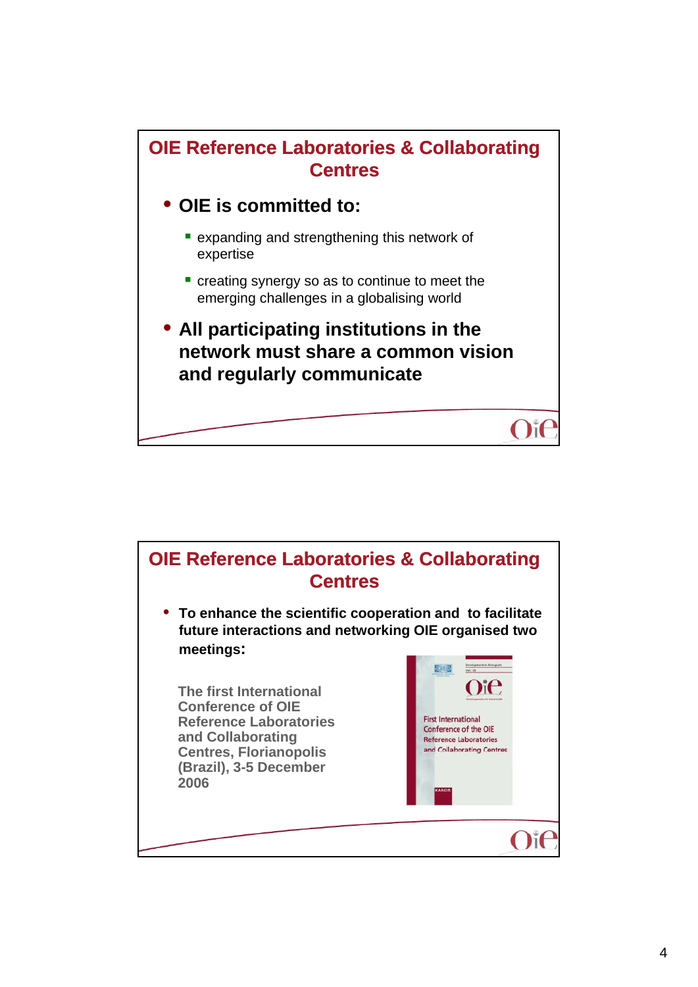

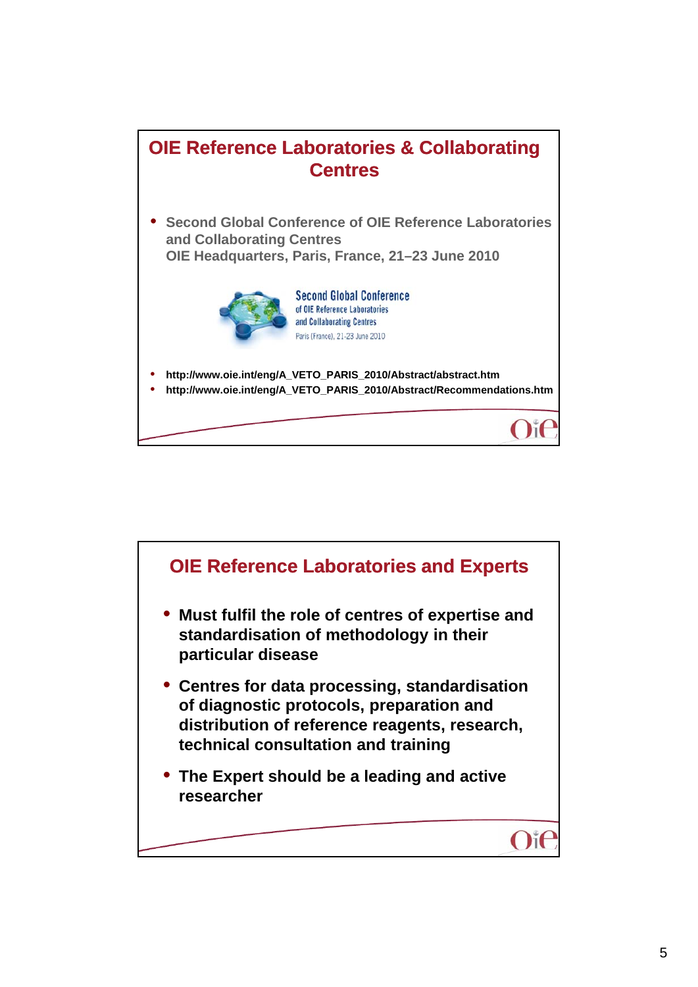

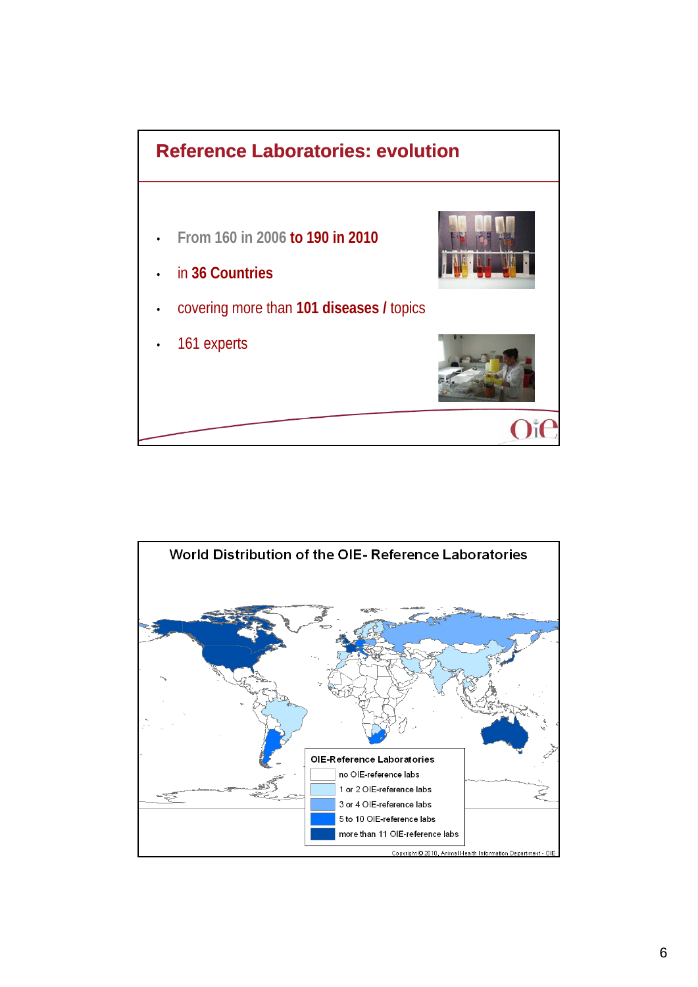

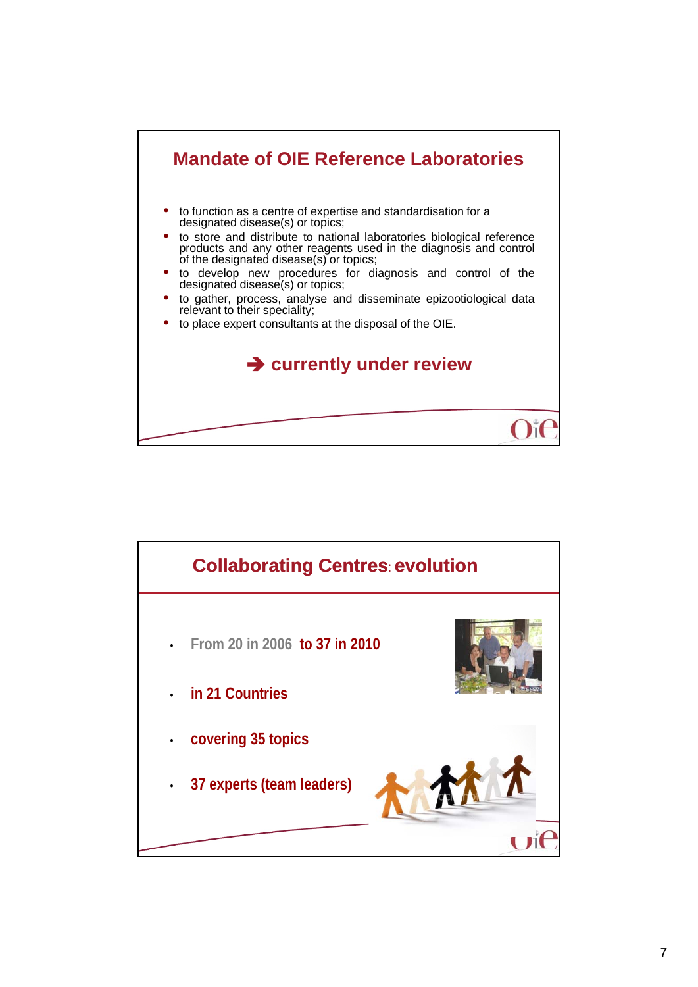

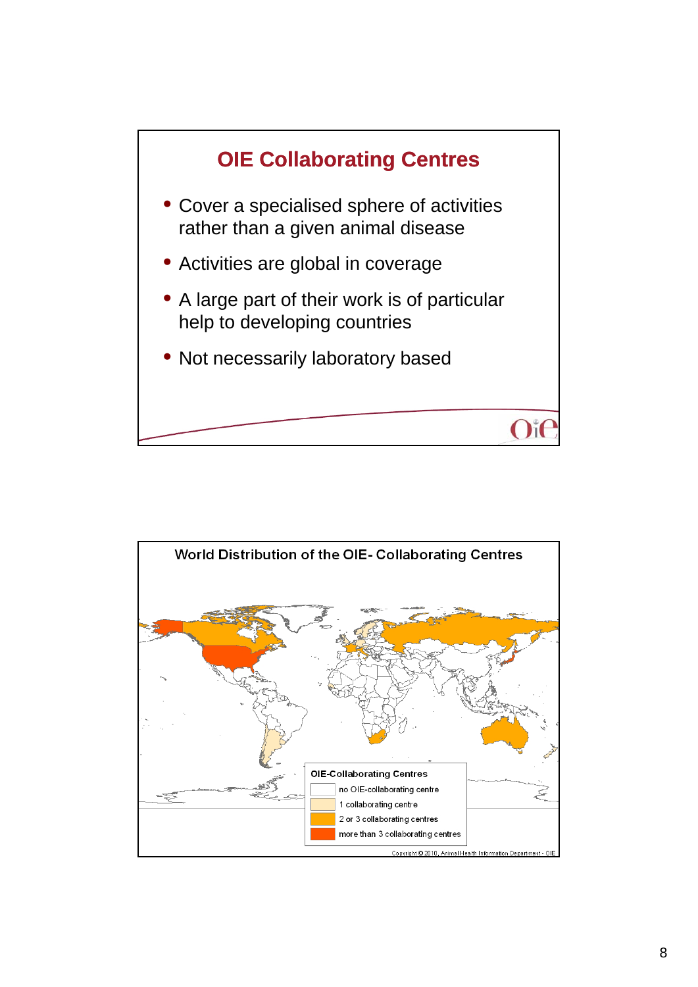

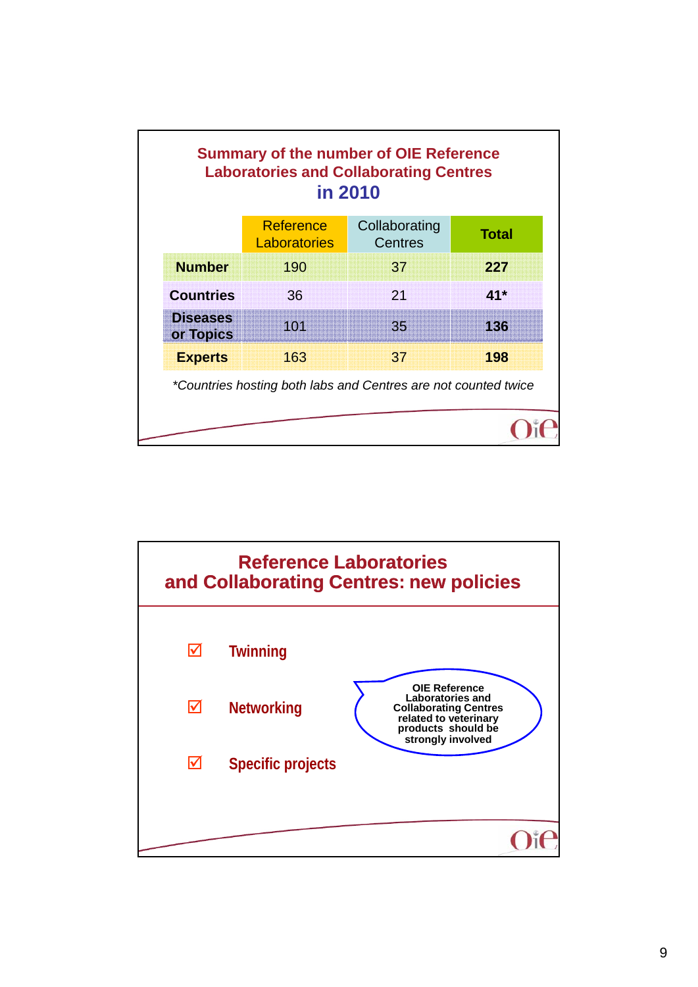|                              | <b>Reference</b><br>Laboratories | Collaborating<br><b>Centres</b> | <b>Total</b> |
|------------------------------|----------------------------------|---------------------------------|--------------|
| <b>Number</b>                | 190                              | 37                              | 227          |
| <b>Countries</b>             | 36                               | 21                              | $41*$        |
| <b>Diseases</b><br>or Topics | 101                              | 35 <sub>1</sub>                 | 136          |
| <b>Experts</b>               | 163                              | 37                              | 198          |

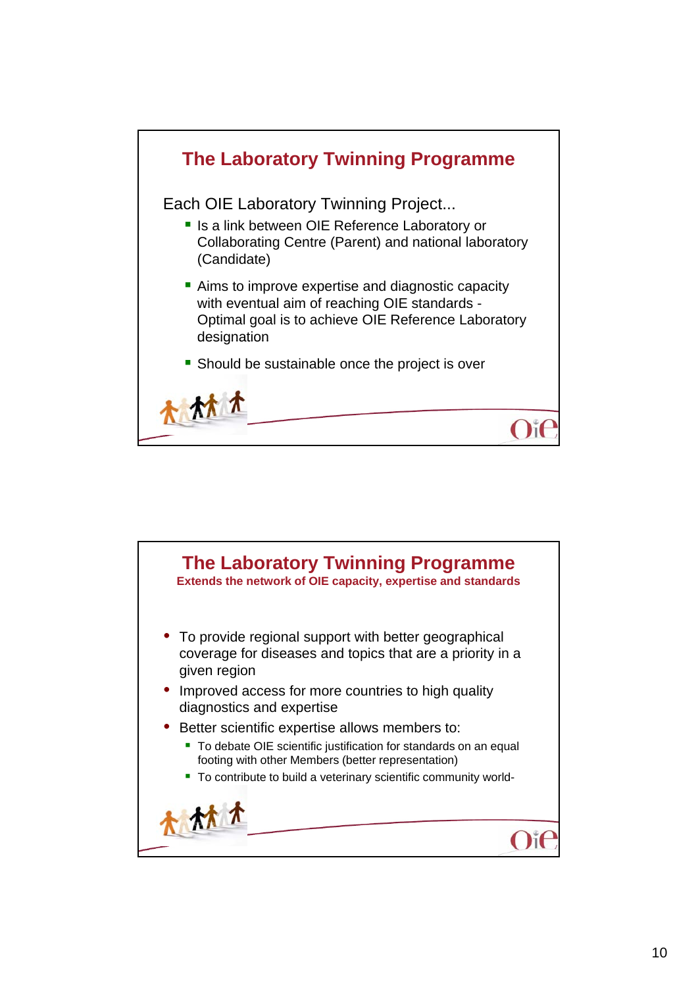

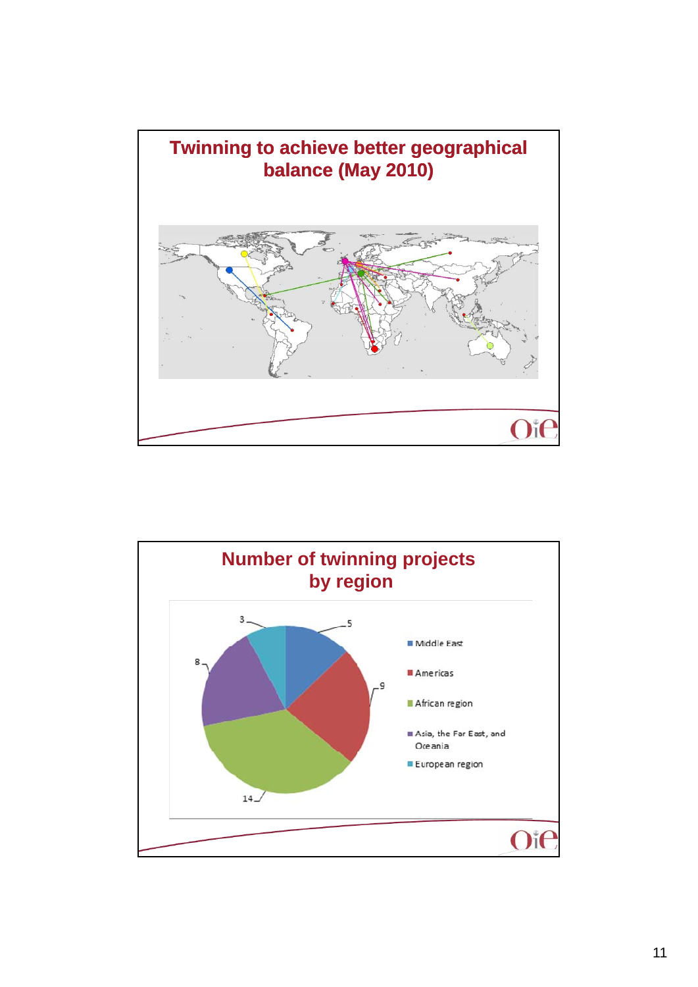